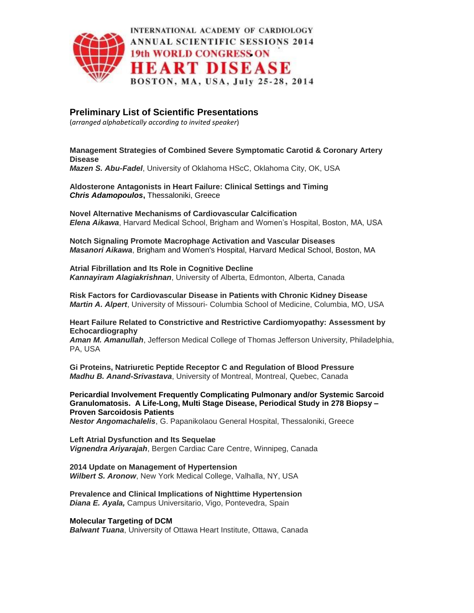

# **Preliminary List of Scientific Presentations**

(*arranged alphabetically according to invited speaker*)

# **Management Strategies of Combined Severe Symptomatic Carotid & Coronary Artery Disease**

*Mazen S. Abu-Fadel*, University of Oklahoma HScC, Oklahoma City, OK, USA

**Aldosterone Antagonists in Heart Failure: Clinical Settings and Timing** *Chris Adamopoulos***,** Thessaloniki, Greece

**Novel Alternative Mechanisms of Cardiovascular Calcification** *Elena Aikawa*, Harvard Medical School, Brigham and Women's Hospital, Boston, MA, USA

**Notch Signaling Promote Macrophage Activation and Vascular Diseases** *Masanori Aikawa*, Brigham and Women's Hospital, Harvard Medical School, Boston, MA

**Atrial Fibrillation and Its Role in Cognitive Decline** *Kannayiram Alagiakrishnan*, University of Alberta, Edmonton, Alberta, Canada

**Risk Factors for Cardiovascular Disease in Patients with Chronic Kidney Disease** *Martin A. Alpert*, University of Missouri- Columbia School of Medicine, Columbia, MO, USA

**Heart Failure Related to Constrictive and Restrictive Cardiomyopathy: Assessment by Echocardiography**

*Aman M. Amanullah*, Jefferson Medical College of Thomas Jefferson University, Philadelphia, PA, USA

**Gi Proteins, Natriuretic Peptide Receptor C and Regulation of Blood Pressure** *Madhu B. Anand-Srivastava*, University of Montreal, Montreal, Quebec, Canada

**Pericardial Involvement Frequently Complicating Pulmonary and/or Systemic Sarcoid Granulomatosis. A Life-Long, Multi Stage Disease, Periodical Study in 278 Biopsy – Proven Sarcoidosis Patients**

*Nestor Angomachalelis*, G. Papanikolaou General Hospital, Thessaloniki, Greece

**Left Atrial Dysfunction and Its Sequelae** *Vignendra Ariyarajah*, Bergen Cardiac Care Centre, Winnipeg, Canada

**2014 Update on Management of Hypertension** *Wilbert S. Aronow*, New York Medical College, Valhalla, NY, USA

**Prevalence and Clinical Implications of Nighttime Hypertension** *Diana E. Ayala,* Campus Universitario, Vigo, Pontevedra, Spain

# **Molecular Targeting of DCM**

*Balwant Tuana*, University of Ottawa Heart Institute, Ottawa, Canada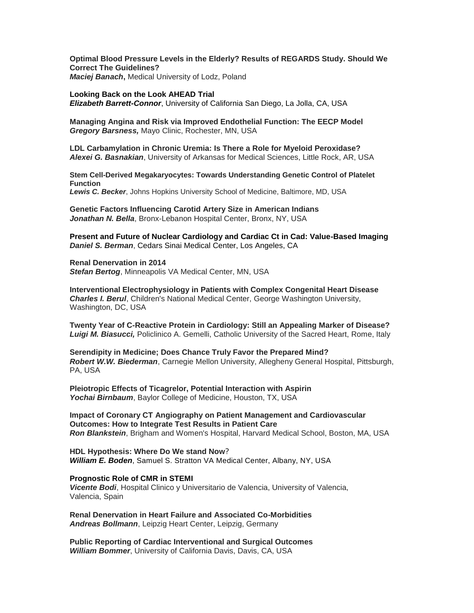**Optimal Blood Pressure Levels in the Elderly? Results of REGARDS Study. Should We Correct The Guidelines?** *Maciej Banach***,** Medical University of Lodz, Poland

**Looking Back on the Look AHEAD Trial** *Elizabeth Barrett-Connor*, University of California San Diego, La Jolla, CA, USA

**Managing Angina and Risk via Improved Endothelial Function: The EECP Model** *Gregory Barsness,* Mayo Clinic, Rochester, MN, USA

**LDL Carbamylation in Chronic Uremia: Is There a Role for Myeloid Peroxidase?** *Alexei G. Basnakian*, University of Arkansas for Medical Sciences, Little Rock, AR, USA

**Stem Cell-Derived Megakaryocytes: Towards Understanding Genetic Control of Platelet Function** *Lewis C. Becker*, Johns Hopkins University School of Medicine, Baltimore, MD, USA

**Genetic Factors Influencing Carotid Artery Size in American Indians** *Jonathan N. Bella*, Bronx-Lebanon Hospital Center, Bronx, NY, USA

**Present and Future of Nuclear Cardiology and Cardiac Ct in Cad: Value-Based Imaging** *Daniel S. Berman*, Cedars Sinai Medical Center, Los Angeles, CA

**Renal Denervation in 2014**

*Stefan Bertog*, Minneapolis VA Medical Center, MN, USA

**Interventional Electrophysiology in Patients with Complex Congenital Heart Disease** *Charles I. Berul*, Children's National Medical Center, George Washington University, Washington, DC, USA

**Twenty Year of C-Reactive Protein in Cardiology: Still an Appealing Marker of Disease?** *Luigi M. Biasucci,* Policlinico A. Gemelli, Catholic University of the Sacred Heart, Rome, Italy

**Serendipity in Medicine; Does Chance Truly Favor the Prepared Mind?** *Robert W.W. Biederman*, Carnegie Mellon University, Allegheny General Hospital, Pittsburgh, PA, USA

**Pleiotropic Effects of Ticagrelor, Potential Interaction with Aspirin**  *Yochai Birnbaum*, Baylor College of Medicine, Houston, TX, USA

**Impact of Coronary CT Angiography on Patient Management and Cardiovascular Outcomes: How to Integrate Test Results in Patient Care** *Ron Blankstein*, Brigham and Women's Hospital, Harvard Medical School, Boston, MA, USA

**HDL Hypothesis: Where Do We stand Now**? *William E. Boden*, Samuel S. Stratton VA Medical Center, Albany, NY, USA

# **Prognostic Role of CMR in STEMI**

*Vicente Bodi*, Hospital Clinico y Universitario de Valencia, University of Valencia, Valencia, Spain

**Renal Denervation in Heart Failure and Associated Co-Morbidities** *Andreas Bollmann*, Leipzig Heart Center, Leipzig, Germany

**Public Reporting of Cardiac Interventional and Surgical Outcomes** *William Bommer*, University of California Davis, Davis, CA, USA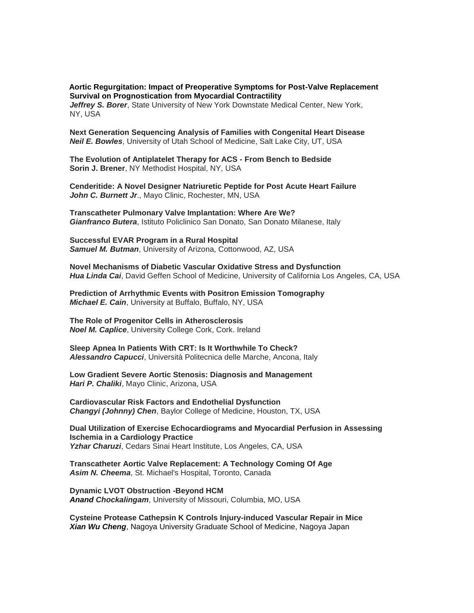### **Aortic Regurgitation: Impact of Preoperative Symptoms for Post-Valve Replacement Survival on Prognostication from Myocardial Contractility**

*Jeffrey S. Borer*, State University of New York Downstate Medical Center, New York, NY, USA

**Next Generation Sequencing Analysis of Families with Congenital Heart Disease** *Neil E. Bowles*, University of Utah School of Medicine, Salt Lake City, UT, USA

**The Evolution of Antiplatelet Therapy for ACS - From Bench to Bedside Sorin J. Brener**, NY Methodist Hospital, NY, USA

**Cenderitide: A Novel Designer Natriuretic Peptide for Post Acute Heart Failure** John C. Burnett Jr., Mayo Clinic, Rochester, MN, USA

**Transcatheter Pulmonary Valve Implantation: Where Are We?** *Gianfranco Butera*, Istituto Policlinico San Donato, San Donato Milanese, Italy

**Successful EVAR Program in a Rural Hospital** *Samuel M. Butman*, University of Arizona, Cottonwood, AZ, USA

**Novel Mechanisms of Diabetic Vascular Oxidative Stress and Dysfunction** *Hua Linda Cai*, David Geffen School of Medicine, University of California Los Angeles, CA, USA

**Prediction of Arrhythmic Events with Positron Emission Tomography** *Michael E. Cain*, University at Buffalo, Buffalo, NY, USA

**The Role of Progenitor Cells in Atherosclerosis** *Noel M. Caplice*, University College Cork, Cork. Ireland

**Sleep Apnea In Patients With CRT: Is It Worthwhile To Check?** *Alessandro Capucci*, Università Politecnica delle Marche, Ancona, Italy

**Low Gradient Severe Aortic Stenosis: Diagnosis and Management** *Hari P. Chaliki*, Mayo Clinic, Arizona, USA

**Cardiovascular Risk Factors and Endothelial Dysfunction** *Changyi (Johnny) Chen*, Baylor College of Medicine, Houston, TX, USA

**Dual Utilization of Exercise Echocardiograms and Myocardial Perfusion in Assessing Ischemia in a Cardiology Practice** *Yzhar Charuzi*, Cedars Sinai Heart Institute, Los Angeles, CA, USA

**Transcatheter Aortic Valve Replacement: A Technology Coming Of Age** *Asim N. Cheema*, St. Michael's Hospital, Toronto, Canada

**Dynamic LVOT Obstruction -Beyond HCM**  *Anand Chockalingam*, University of Missouri, Columbia, MO, USA

**Cysteine Protease Cathepsin K Controls Injury-induced Vascular Repair in Mice** *Xian Wu Cheng*, Nagoya University Graduate School of Medicine, Nagoya Japan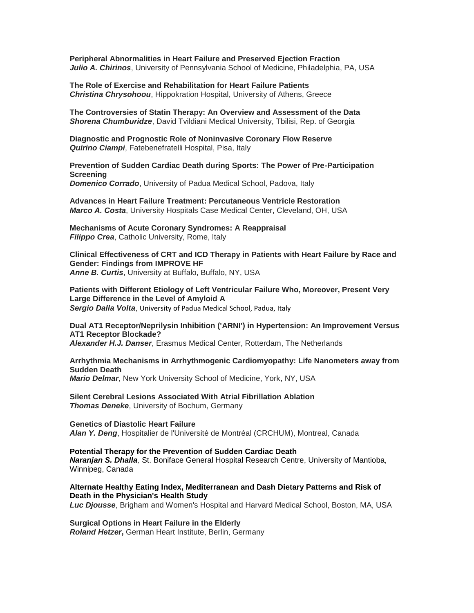**Peripheral Abnormalities in Heart Failure and Preserved Ejection Fraction** *Julio A. Chirinos*, University of Pennsylvania School of Medicine, Philadelphia, PA, USA

**The Role of Exercise and Rehabilitation for Heart Failure Patients** *Christina Chrysohoou*, Hippokration Hospital, University of Athens, Greece

**The Controversies of Statin Therapy: An Overview and Assessment of the Data** *Shorena Chumburidze*, David Tvildiani Medical University, Tbilisi, Rep. of Georgia

**Diagnostic and Prognostic Role of Noninvasive Coronary Flow Reserve** *Quirino Ciampi*, Fatebenefratelli Hospital, Pisa, Italy

**Prevention of Sudden Cardiac Death during Sports: The Power of Pre-Participation Screening** *Domenico Corrado*, University of Padua Medical School, Padova, Italy

**Advances in Heart Failure Treatment: Percutaneous Ventricle Restoration**

*Marco A. Costa*, University Hospitals Case Medical Center, Cleveland, OH, USA

**Mechanisms of Acute Coronary Syndromes: A Reappraisal** *Filippo Crea*, Catholic University, Rome, Italy

**Clinical Effectiveness of CRT and ICD Therapy in Patients with Heart Failure by Race and Gender: Findings from IMPROVE HF** *Anne B. Curtis*, University at Buffalo, Buffalo, NY, USA

**Patients with Different Etiology of Left Ventricular Failure Who, Moreover, Present Very Large Difference in the Level of Amyloid A** *Sergio Dalla Volta*, University of Padua Medical School, Padua, Italy

**Dual AT1 Receptor/Neprilysin Inhibition ('ARNI') in Hypertension: An Improvement Versus AT1 Receptor Blockade?** *Alexander H.J. Danser*, Erasmus Medical Center, Rotterdam, The Netherlands

**Arrhythmia Mechanisms in Arrhythmogenic Cardiomyopathy: Life Nanometers away from Sudden Death** *Mario Delmar*, New York University School of Medicine, York, NY, USA

**Silent Cerebral Lesions Associated With Atrial Fibrillation Ablation** *Thomas Deneke*, University of Bochum, Germany

**Genetics of Diastolic Heart Failure** *Alan Y. Deng*, Hospitalier de l'Université de Montréal (CRCHUM), Montreal, Canada

**Potential Therapy for the Prevention of Sudden Cardiac Death** *Naranjan S. Dhalla,* St. Boniface General Hospital Research Centre, University of Mantioba, Winnipeg, Canada

**Alternate Healthy Eating Index, Mediterranean and Dash Dietary Patterns and Risk of Death in the Physician's Health Study**  *Luc Djousse*, Brigham and Women's Hospital and Harvard Medical School, Boston, MA, USA

**Surgical Options in Heart Failure in the Elderly** *Roland Hetzer***,** German Heart Institute, Berlin, Germany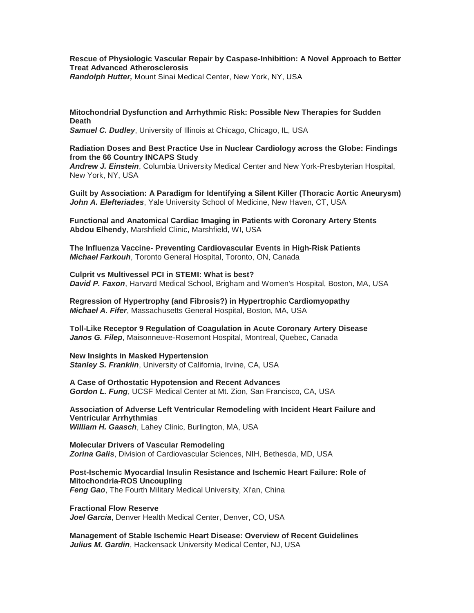# **Rescue of Physiologic Vascular Repair by Caspase-Inhibition: A Novel Approach to Better Treat Advanced Atherosclerosis**

*Randolph Hutter,* Mount Sinai Medical Center, New York, NY, USA

# **Mitochondrial Dysfunction and Arrhythmic Risk: Possible New Therapies for Sudden Death**

*Samuel C. Dudley*, University of Illinois at Chicago, Chicago, IL, USA

## **Radiation Doses and Best Practice Use in Nuclear Cardiology across the Globe: Findings from the 66 Country INCAPS Study**

*Andrew J. Einstein*, Columbia University Medical Center and New York-Presbyterian Hospital, New York, NY, USA

**Guilt by Association: A Paradigm for Identifying a Silent Killer (Thoracic Aortic Aneurysm)** *John A. Elefteriades*, Yale University School of Medicine, New Haven, CT, USA

**Functional and Anatomical Cardiac Imaging in Patients with Coronary Artery Stents Abdou Elhendy**, Marshfield Clinic, Marshfield, WI, USA

**The Influenza Vaccine- Preventing Cardiovascular Events in High-Risk Patients** *Michael Farkouh*, Toronto General Hospital, Toronto, ON, Canada

**Culprit vs Multivessel PCI in STEMI: What is best?** *David P. Faxon*, Harvard Medical School, Brigham and Women's Hospital, Boston, MA, USA

**Regression of Hypertrophy (and Fibrosis?) in Hypertrophic Cardiomyopathy** *Michael A. Fifer*, Massachusetts General Hospital, Boston, MA, USA

**Toll-Like Receptor 9 Regulation of Coagulation in Acute Coronary Artery Disease** Janos G. Filep, Maisonneuve-Rosemont Hospital, Montreal, Quebec, Canada

**New Insights in Masked Hypertension** *Stanley S. Franklin*, University of California, Irvine, CA, USA

**A Case of Orthostatic Hypotension and Recent Advances** *Gordon L. Fung*, UCSF Medical Center at Mt. Zion, San Francisco, CA, USA

**Association of Adverse Left Ventricular Remodeling with Incident Heart Failure and Ventricular Arrhythmias** *William H. Gaasch*, Lahey Clinic, Burlington, MA, USA

**Molecular Drivers of Vascular Remodeling** *Zorina Galis*, Division of Cardiovascular Sciences, NIH, Bethesda, MD, USA

**Post-Ischemic Myocardial Insulin Resistance and Ischemic Heart Failure: Role of Mitochondria-ROS Uncoupling** *Feng Gao*, The Fourth Military Medical University, Xi'an, China

**Fractional Flow Reserve** *Joel Garcia*, Denver Health Medical Center, Denver, CO, USA

**Management of Stable Ischemic Heart Disease: Overview of Recent Guidelines** *Julius M. Gardin*, Hackensack University Medical Center, NJ, USA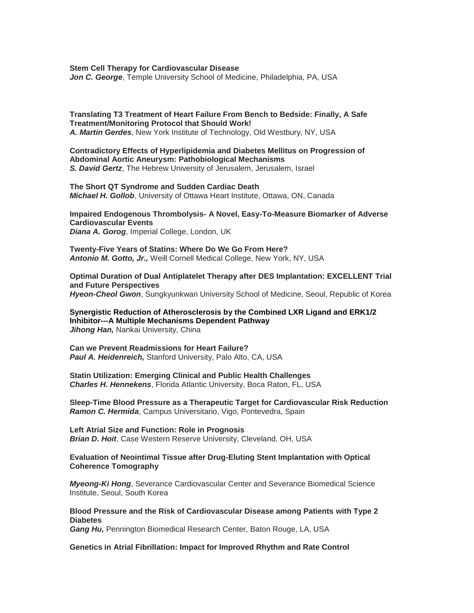**Stem Cell Therapy for Cardiovascular Disease**

*Jon C. George*, Temple University School of Medicine, Philadelphia, PA, USA

**Translating T3 Treatment of Heart Failure From Bench to Bedside: Finally, A Safe Treatment/Monitoring Protocol that Should Work!** *A. Martin Gerdes*, New York Institute of Technology, Old Westbury, NY, USA

**Contradictory Effects of Hyperlipidemia and Diabetes Mellitus on Progression of Abdominal Aortic Aneurysm: Pathobiological Mechanisms** *S. David Gertz*, The Hebrew University of Jerusalem, Jerusalem, Israel

**The Short QT Syndrome and Sudden Cardiac Death** *Michael H. Gollob*, University of Ottawa Heart Institute, Ottawa, ON, Canada

**Impaired Endogenous Thrombolysis- A Novel, Easy-To-Measure Biomarker of Adverse Cardiovascular Events** *Diana A. Gorog*, Imperial College, London, UK

**Twenty-Five Years of Statins: Where Do We Go From Here?** *Antonio M. Gotto, Jr.,* Weill Cornell Medical College, New York, NY, USA

**Optimal Duration of Dual Antiplatelet Therapy after DES Implantation: EXCELLENT Trial and Future Perspectives** *Hyeon-Cheol Gwon*, Sungkyunkwan University School of Medicine, Seoul, Republic of Korea

**Synergistic Reduction of Atherosclerosis by the Combined LXR Ligand and ERK1/2 Inhibitor---A Multiple Mechanisms Dependent Pathway Jihong Han, Nankai University, China** 

**Can we Prevent Readmissions for Heart Failure?** *Paul A. Heidenreich,* Stanford University, Palo Alto, CA, USA

**Statin Utilization: Emerging Clinical and Public Health Challenges** *Charles H. Hennekens*, Florida Atlantic University, Boca Raton, FL, USA

**Sleep-Time Blood Pressure as a Therapeutic Target for Cardiovascular Risk Reduction** *Ramon C. Hermida*, Campus Universitario, Vigo, Pontevedra, Spain

**Left Atrial Size and Function: Role in Prognosis** *Brian D. Hoit*, Case Western Reserve University, Cleveland, OH, USA

**Evaluation of Neointimal Tissue after Drug-Eluting Stent Implantation with Optical Coherence Tomography**

*Myeong-Ki Hong*, Severance Cardiovascular Center and Severance Biomedical Science Institute, Seoul, South Korea

### **Blood Pressure and the Risk of Cardiovascular Disease among Patients with Type 2 Diabetes**

*Gang Hu,* Pennington Biomedical Research Center, Baton Rouge, LA, USA

**Genetics in Atrial Fibrillation: Impact for Improved Rhythm and Rate Control**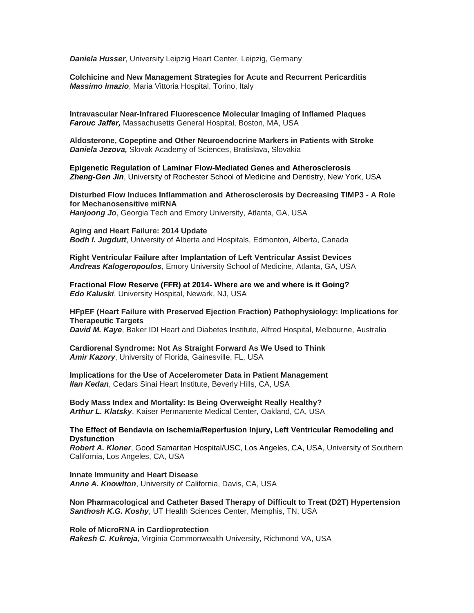*Daniela Husser*, University Leipzig Heart Center, Leipzig, Germany

**Colchicine and New Management Strategies for Acute and Recurrent Pericarditis** *Massimo Imazio*, Maria Vittoria Hospital, Torino, Italy

**Intravascular Near-Infrared Fluorescence Molecular Imaging of Inflamed Plaques** *Farouc Jaffer,* Massachusetts General Hospital, Boston, MA, USA

**Aldosterone, Copeptine and Other Neuroendocrine Markers in Patients with Stroke** *Daniela Jezova,* Slovak Academy of Sciences, Bratislava, Slovakia

**Epigenetic Regulation of Laminar Flow-Mediated Genes and Atherosclerosis** *Zheng-Gen Jin*, University of Rochester School of Medicine and Dentistry, New York, USA

**Disturbed Flow Induces Inflammation and Atherosclerosis by Decreasing TIMP3 - A Role for Mechanosensitive miRNA** *Hanjoong Jo*, Georgia Tech and Emory University, Atlanta, GA, USA

**Aging and Heart Failure: 2014 Update** *Bodh I. Jugdutt*, University of Alberta and Hospitals, Edmonton, Alberta, Canada

**Right Ventricular Failure after Implantation of Left Ventricular Assist Devices** *Andreas Kalogeropoulos*, Emory University School of Medicine, Atlanta, GA, USA

**Fractional Flow Reserve (FFR) at 2014- Where are we and where is it Going?** *Edo Kaluski*, University Hospital, Newark, NJ, USA

**HFpEF (Heart Failure with Preserved Ejection Fraction) Pathophysiology: Implications for Therapeutic Targets**

*David M. Kaye*, Baker IDI Heart and Diabetes Institute, Alfred Hospital, Melbourne, Australia

**Cardiorenal Syndrome: Not As Straight Forward As We Used to Think** *Amir Kazory*, University of Florida, Gainesville, FL, USA

**Implications for the Use of Accelerometer Data in Patient Management** *Ilan Kedan*, Cedars Sinai Heart Institute, Beverly Hills, CA, USA

**Body Mass Index and Mortality: Is Being Overweight Really Healthy?** *Arthur L. Klatsky*, Kaiser Permanente Medical Center, Oakland, CA, USA

## **The Effect of Bendavia on Ischemia/Reperfusion Injury, Left Ventricular Remodeling and Dysfunction**

*Robert A. Kloner*, Good Samaritan Hospital/USC, Los Angeles, CA, USA, University of Southern California, Los Angeles, CA, USA

**Innate Immunity and Heart Disease** *Anne A. Knowlton*, University of California, Davis, CA, USA

**Non Pharmacological and Catheter Based Therapy of Difficult to Treat (D2T) Hypertension** *Santhosh K.G. Koshy*, UT Health Sciences Center, Memphis, TN, USA

**Role of MicroRNA in Cardioprotection**

*Rakesh C. Kukreja*, Virginia Commonwealth University, Richmond VA, USA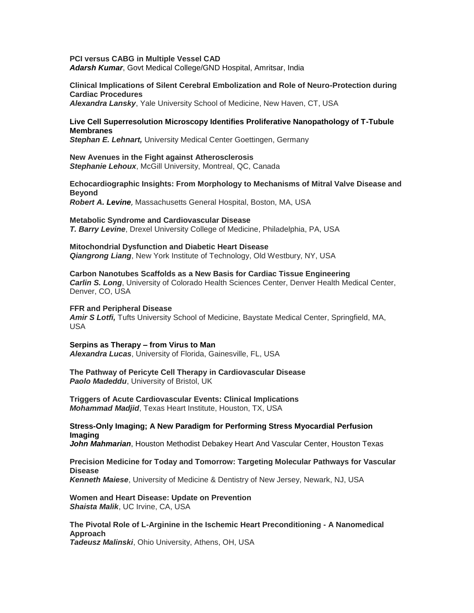### **PCI versus CABG in Multiple Vessel CAD**

*Adarsh Kumar*, Govt Medical College/GND Hospital, Amritsar, India

## **Clinical Implications of Silent Cerebral Embolization and Role of Neuro-Protection during Cardiac Procedures**

*Alexandra Lansky*, Yale University School of Medicine, New Haven, CT, USA

### **Live Cell Superresolution Microscopy Identifies Proliferative Nanopathology of T-Tubule Membranes**

*Stephan E. Lehnart,* University Medical Center Goettingen, Germany

**New Avenues in the Fight against Atherosclerosis**

*Stephanie Lehoux*, McGill University, Montreal, QC, Canada

# **Echocardiographic Insights: From Morphology to Mechanisms of Mitral Valve Disease and Beyond**

*Robert A. Levine*, Massachusetts General Hospital, Boston, MA, USA

### **Metabolic Syndrome and Cardiovascular Disease**

*T. Barry Levine*, Drexel University College of Medicine, Philadelphia, PA, USA

**Mitochondrial Dysfunction and Diabetic Heart Disease** *Qiangrong Liang*, New York Institute of Technology, Old Westbury, NY, USA

### **Carbon Nanotubes Scaffolds as a New Basis for Cardiac Tissue Engineering**

*Carlin S. Long*, University of Colorado Health Sciences Center, Denver Health Medical Center, Denver, CO, USA

### **FFR and Peripheral Disease**

*Amir S Lotfi,* Tufts University School of Medicine, Baystate Medical Center, Springfield, MA, USA

### **Serpins as Therapy – from Virus to Man**

*Alexandra Lucas*, University of Florida, Gainesville, FL, USA

**The Pathway of Pericyte Cell Therapy in Cardiovascular Disease** *Paolo Madeddu*, University of Bristol, UK

**Triggers of Acute Cardiovascular Events: Clinical Implications** *Mohammad Madjid*, Texas Heart Institute, Houston, TX, USA

## **Stress-Only Imaging; A New Paradigm for Performing Stress Myocardial Perfusion Imaging**

*John Mahmarian*, Houston Methodist Debakey Heart And Vascular Center, Houston Texas

#### **Precision Medicine for Today and Tomorrow: Targeting Molecular Pathways for Vascular Disease**

*Kenneth Maiese*, University of Medicine & Dentistry of New Jersey, Newark, NJ, USA

## **Women and Heart Disease: Update on Prevention** *Shaista Malik*, UC Irvine, CA, USA

**The Pivotal Role of L-Arginine in the Ischemic Heart Preconditioning - A Nanomedical Approach**

*Tadeusz Malinski*, Ohio University, Athens, OH, USA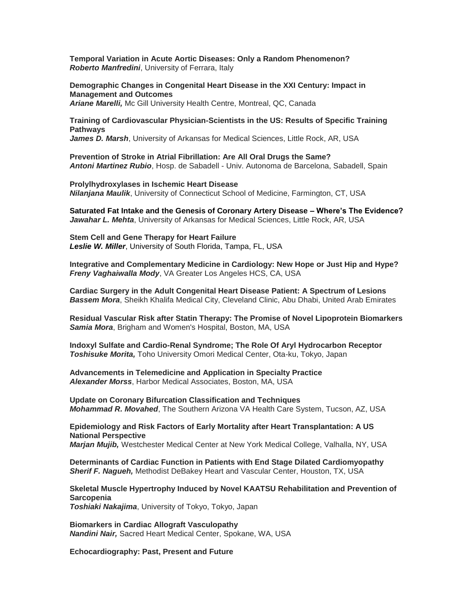**Temporal Variation in Acute Aortic Diseases: Only a Random Phenomenon?** *Roberto Manfredini*, University of Ferrara, Italy

**Demographic Changes in Congenital Heart Disease in the XXI Century: Impact in Management and Outcomes**

*Ariane Marelli,* Mc Gill University Health Centre, Montreal, QC, Canada

**Training of Cardiovascular Physician-Scientists in the US: Results of Specific Training Pathways**

*James D. Marsh*, University of Arkansas for Medical Sciences, Little Rock, AR, USA

**Prevention of Stroke in Atrial Fibrillation: Are All Oral Drugs the Same?** *Antoni Martinez Rubio*, Hosp. de Sabadell - Univ. Autonoma de Barcelona, Sabadell, Spain

**Prolylhydroxylases in Ischemic Heart Disease** *Nilanjana Maulik*, University of Connecticut School of Medicine, Farmington, CT, USA

**Saturated Fat Intake and the Genesis of Coronary Artery Disease – Where's The Evidence?**  *Jawahar L. Mehta*, University of Arkansas for Medical Sciences, Little Rock, AR, USA

**Stem Cell and Gene Therapy for Heart Failure** *Leslie W. Miller*, University of South Florida, Tampa, FL, USA

**Integrative and Complementary Medicine in Cardiology: New Hope or Just Hip and Hype?** *Freny Vaghaiwalla Mody*, VA Greater Los Angeles HCS, CA, USA

**Cardiac Surgery in the Adult Congenital Heart Disease Patient: A Spectrum of Lesions** *Bassem Mora*, Sheikh Khalifa Medical City, Cleveland Clinic, Abu Dhabi, United Arab Emirates

**Residual Vascular Risk after Statin Therapy: The Promise of Novel Lipoprotein Biomarkers** *Samia Mora*, Brigham and Women's Hospital, Boston, MA, USA

**Indoxyl Sulfate and Cardio-Renal Syndrome; The Role Of Aryl Hydrocarbon Receptor** *Toshisuke Morita,* Toho University Omori Medical Center, Ota-ku, Tokyo, Japan

**Advancements in Telemedicine and Application in Specialty Practice** *Alexander Morss*, Harbor Medical Associates, Boston, MA, USA

**Update on Coronary Bifurcation Classification and Techniques** *Mohammad R. Movahed*, The Southern Arizona VA Health Care System, Tucson, AZ, USA

**Epidemiology and Risk Factors of Early Mortality after Heart Transplantation: A US National Perspective**

*Marjan Mujib,* Westchester Medical Center at New York Medical College, Valhalla, NY, USA

**Determinants of Cardiac Function in Patients with End Stage Dilated Cardiomyopathy** *Sherif F. Nagueh,* Methodist DeBakey Heart and Vascular Center, Houston, TX, USA

**Skeletal Muscle Hypertrophy Induced by Novel KAATSU Rehabilitation and Prevention of Sarcopenia**

*Toshiaki Nakajima*, University of Tokyo, Tokyo, Japan

**Biomarkers in Cardiac Allograft Vasculopathy** *Nandini Nair,* Sacred Heart Medical Center, Spokane, WA, USA

**Echocardiography: Past, Present and Future**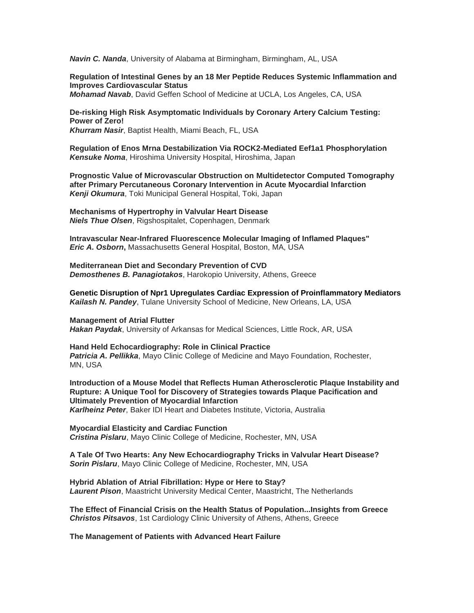*Navin C. Nanda*, University of Alabama at Birmingham, Birmingham, AL, USA

**Regulation of Intestinal Genes by an 18 Mer Peptide Reduces Systemic Inflammation and Improves Cardiovascular Status** *Mohamad Navab*, David Geffen School of Medicine at UCLA, Los Angeles, CA, USA

**De-risking High Risk Asymptomatic Individuals by Coronary Artery Calcium Testing: Power of Zero!** *Khurram Nasir*, Baptist Health, Miami Beach, FL, USA

**Regulation of Enos Mrna Destabilization Via ROCK2-Mediated Eef1a1 Phosphorylation** *Kensuke Noma*, Hiroshima University Hospital, Hiroshima, Japan

**Prognostic Value of Microvascular Obstruction on Multidetector Computed Tomography after Primary Percutaneous Coronary Intervention in Acute Myocardial Infarction** *Kenji Okumura*, Toki Municipal General Hospital, Toki, Japan

**Mechanisms of Hypertrophy in Valvular Heart Disease** *Niels Thue Olsen*, Rigshospitalet, Copenhagen, Denmark

**Intravascular Near-Infrared Fluorescence Molecular Imaging of Inflamed Plaques"** *Eric A. Osborn***,** Massachusetts General Hospital, Boston, MA, USA

**Mediterranean Diet and Secondary Prevention of CVD** *Demosthenes B. Panagiotakos*, Harokopio University, Athens, Greece

**Genetic Disruption of Npr1 Upregulates Cardiac Expression of Proinflammatory Mediators** *Kailash N. Pandey*, Tulane University School of Medicine, New Orleans, LA, USA

**Management of Atrial Flutter** *Hakan Paydak*, University of Arkansas for Medical Sciences, Little Rock, AR, USA

**Hand Held Echocardiography: Role in Clinical Practice** *Patricia A. Pellikka*, Mayo Clinic College of Medicine and Mayo Foundation, Rochester, MN, USA

**Introduction of a Mouse Model that Reflects Human Atherosclerotic Plaque Instability and Rupture: A Unique Tool for Discovery of Strategies towards Plaque Pacification and Ultimately Prevention of Myocardial Infarction** *Karlheinz Peter*, Baker IDI Heart and Diabetes Institute, Victoria, Australia

**Myocardial Elasticity and Cardiac Function** *Cristina Pislaru*, Mayo Clinic College of Medicine, Rochester, MN, USA

**A Tale Of Two Hearts: Any New Echocardiography Tricks in Valvular Heart Disease?** *Sorin Pislaru*, Mayo Clinic College of Medicine, Rochester, MN, USA

**Hybrid Ablation of Atrial Fibrillation: Hype or Here to Stay?** *Laurent Pison*, Maastricht University Medical Center, Maastricht, The Netherlands

**The Effect of Financial Crisis on the Health Status of Population...Insights from Greece** *Christos Pitsavos*, 1st Cardiology Clinic University of Athens, Athens, Greece

**The Management of Patients with Advanced Heart Failure**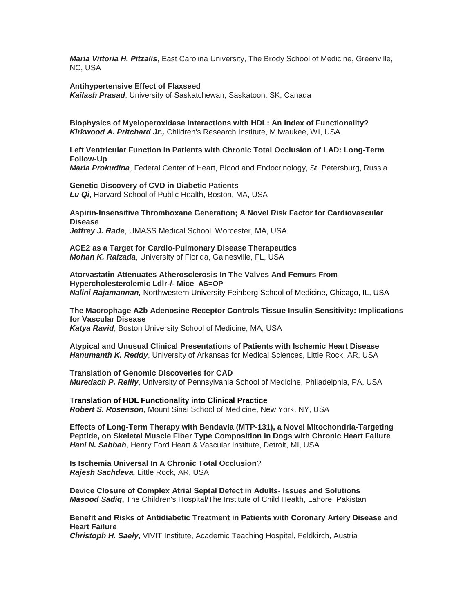*Maria Vittoria H. Pitzalis*, East Carolina University, The Brody School of Medicine, Greenville, NC, USA

#### **Antihypertensive Effect of Flaxseed**

*Kailash Prasad*, University of Saskatchewan, Saskatoon, SK, Canada

**Biophysics of Myeloperoxidase Interactions with HDL: An Index of Functionality?** *Kirkwood A. Pritchard Jr.,* Children's Research Institute, Milwaukee, WI, USA

**Left Ventricular Function in Patients with Chronic Total Occlusion of LAD: Long-Term Follow-Up**

*Maria Prokudina*, Federal Center of Heart, Blood and Endocrinology, St. Petersburg, Russia

**Genetic Discovery of CVD in Diabetic Patients** *Lu Qi*, Harvard School of Public Health, Boston, MA, USA

**Aspirin-Insensitive Thromboxane Generation; A Novel Risk Factor for Cardiovascular Disease** *Jeffrey J. Rade*, UMASS Medical School, Worcester, MA, USA

**ACE2 as a Target for Cardio-Pulmonary Disease Therapeutics** *Mohan K. Raizada*, University of Florida, Gainesville, FL, USA

**Atorvastatin Attenuates Atherosclerosis In The Valves And Femurs From Hypercholesterolemic Ldlr-/- Mice AS=OP** *Nalini Rajamannan,* Northwestern University Feinberg School of Medicine, Chicago, IL, USA

**The Macrophage A2b Adenosine Receptor Controls Tissue Insulin Sensitivity: Implications for Vascular Disease** *Katya Ravid*, Boston University School of Medicine, MA, USA

**Atypical and Unusual Clinical Presentations of Patients with Ischemic Heart Disease** *Hanumanth K. Reddy*, University of Arkansas for Medical Sciences, Little Rock, AR, USA

**Translation of Genomic Discoveries for CAD** *Muredach P. Reilly*, University of Pennsylvania School of Medicine, Philadelphia, PA, USA

**Translation of HDL Functionality into Clinical Practice** *Robert S. Rosenson*, Mount Sinai School of Medicine, New York, NY, USA

**Effects of Long-Term Therapy with Bendavia (MTP-131), a Novel Mitochondria-Targeting Peptide, on Skeletal Muscle Fiber Type Composition in Dogs with Chronic Heart Failure** *Hani N. Sabbah*, Henry Ford Heart & Vascular Institute, Detroit, MI, USA

**Is Ischemia Universal In A Chronic Total Occlusion**? *Rajesh Sachdeva,* Little Rock, AR, USA

**Device Closure of Complex Atrial Septal Defect in Adults- Issues and Solutions** *Masood Sadiq***,** The Children's Hospital/The Institute of Child Health, Lahore. Pakistan

**Benefit and Risks of Antidiabetic Treatment in Patients with Coronary Artery Disease and Heart Failure**

*Christoph H. Saely*, VIVIT Institute, Academic Teaching Hospital, Feldkirch, Austria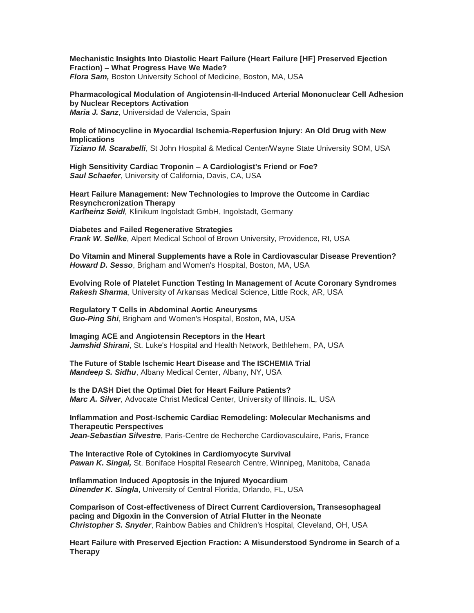**Mechanistic Insights Into Diastolic Heart Failure (Heart Failure [HF] Preserved Ejection Fraction) – What Progress Have We Made?**

*Flora Sam,* Boston University School of Medicine, Boston, MA, USA

**Pharmacological Modulation of Angiotensin-II-Induced Arterial Mononuclear Cell Adhesion by Nuclear Receptors Activation** *Maria J. Sanz*, Universidad de Valencia, Spain

# **Role of Minocycline in Myocardial Ischemia-Reperfusion Injury: An Old Drug with New Implications**

*Tiziano M. Scarabelli*, St John Hospital & Medical Center/Wayne State University SOM, USA

**High Sensitivity Cardiac Troponin – A Cardiologist's Friend or Foe?** *Saul Schaefer*, University of California, Davis, CA, USA

**Heart Failure Management: New Technologies to Improve the Outcome in Cardiac Resynchcronization Therapy** *Karlheinz Seidl,* Klinikum Ingolstadt GmbH, Ingolstadt, Germany

**Diabetes and Failed Regenerative Strategies** *Frank W. Sellke*, Alpert Medical School of Brown University, Providence, RI, USA

**Do Vitamin and Mineral Supplements have a Role in Cardiovascular Disease Prevention?** *Howard D. Sesso*, Brigham and Women's Hospital, Boston, MA, USA

**Evolving Role of Platelet Function Testing In Management of Acute Coronary Syndromes** *Rakesh Sharma*, University of Arkansas Medical Science, Little Rock, AR, USA

**Regulatory T Cells in Abdominal Aortic Aneurysms** *Guo-Ping Shi*, Brigham and Women's Hospital, Boston, MA, USA

**Imaging ACE and Angiotensin Receptors in the Heart** *Jamshid Shirani*, St. Luke's Hospital and Health Network, Bethlehem, PA, USA

**The Future of Stable Ischemic Heart Disease and The ISCHEMIA Trial** *Mandeep S. Sidhu*, Albany Medical Center, Albany, NY, USA

**Is the DASH Diet the Optimal Diet for Heart Failure Patients?** *Marc A. Silver*, Advocate Christ Medical Center, University of Illinois. IL, USA

**Inflammation and Post-Ischemic Cardiac Remodeling: Molecular Mechanisms and Therapeutic Perspectives** *Jean-Sebastian Silvestre*, Paris-Centre de Recherche Cardiovasculaire, Paris, France

**The Interactive Role of Cytokines in Cardiomyocyte Survival** *Pawan K. Singal,* St. Boniface Hospital Research Centre, Winnipeg, Manitoba, Canada

**Inflammation Induced Apoptosis in the Injured Myocardium** *Dinender K. Singla*, University of Central Florida, Orlando, FL, USA

**Comparison of Cost-effectiveness of Direct Current Cardioversion, Transesophageal pacing and Digoxin in the Conversion of Atrial Flutter in the Neonate** *Christopher S. Snyder*, Rainbow Babies and Children's Hospital, Cleveland, OH, USA

**Heart Failure with Preserved Ejection Fraction: A Misunderstood Syndrome in Search of a Therapy**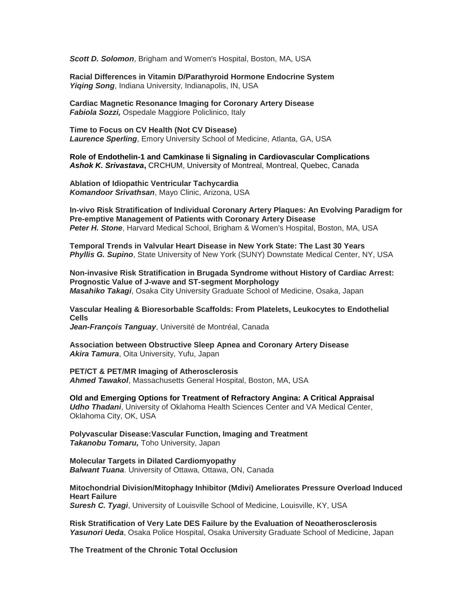*Scott D. Solomon*, Brigham and Women's Hospital, Boston, MA, USA

**Racial Differences in Vitamin D/Parathyroid Hormone Endocrine System**  *Yiqing Song*, Indiana University, Indianapolis, IN, USA

**Cardiac Magnetic Resonance Imaging for Coronary Artery Disease** *Fabiola Sozzi,* Ospedale Maggiore Policlinico, Italy

**Time to Focus on CV Health (Not CV Disease)** *Laurence Sperling*, Emory University School of Medicine, Atlanta, GA, USA

**Role of Endothelin-1 and Camkinase Ii Signaling in Cardiovascular Complications**  *Ashok K. Srivastava***,** CRCHUM, University of Montreal, Montreal, Quebec, Canada

**Ablation of Idiopathic Ventricular Tachycardia** *Komandoor Srivathsan*, Mayo Clinic, Arizona, USA

**In-vivo Risk Stratification of Individual Coronary Artery Plaques: An Evolving Paradigm for Pre-emptive Management of Patients with Coronary Artery Disease** *Peter H. Stone*, Harvard Medical School, Brigham & Women's Hospital, Boston, MA, USA

**Temporal Trends in Valvular Heart Disease in New York State: The Last 30 Years** *Phyllis G. Supino*, State University of New York (SUNY) Downstate Medical Center, NY, USA

**Non-invasive Risk Stratification in Brugada Syndrome without History of Cardiac Arrest: Prognostic Value of J-wave and ST-segment Morphology** *Masahiko Takagi*, Osaka City University Graduate School of Medicine, Osaka, Japan

**Vascular Healing & Bioresorbable Scaffolds: From Platelets, Leukocytes to Endothelial Cells**

*Jean-François Tanguay*, Université de Montréal, Canada

**Association between Obstructive Sleep Apnea and Coronary Artery Disease** *Akira Tamura*, Oita University, Yufu, Japan

**PET/CT & PET/MR Imaging of Atherosclerosis** *Ahmed Tawakol*, Massachusetts General Hospital, Boston, MA, USA

**Old and Emerging Options for Treatment of Refractory Angina: A Critical Appraisal Udho Thadani**, University of Oklahoma Health Sciences Center and VA Medical Center, Oklahoma City, OK, USA

**Polyvascular Disease:Vascular Function, Imaging and Treatment** *Takanobu Tomaru,* Toho University, Japan

**Molecular Targets in Dilated Cardiomyopathy** *Balwant Tuana*. University of Ottawa, Ottawa, ON, Canada

### **Mitochondrial Division/Mitophagy Inhibitor (Mdivi) Ameliorates Pressure Overload Induced Heart Failure**

*Suresh C. Tyagi*, University of Louisville School of Medicine, Louisville, KY, USA

**Risk Stratification of Very Late DES Failure by the Evaluation of Neoatherosclerosis** *Yasunori Ueda*, Osaka Police Hospital, Osaka University Graduate School of Medicine, Japan

**The Treatment of the Chronic Total Occlusion**